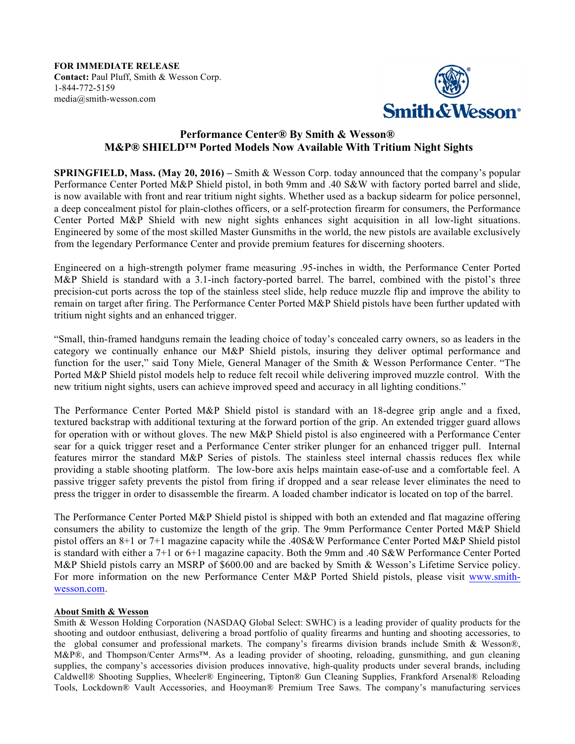**FOR IMMEDIATE RELEASE Contact:** Paul Pluff, Smith & Wesson Corp. 1-844-772-5159 media@smith-wesson.com



## **Performance Center® By Smith & Wesson® M&P® SHIELD™ Ported Models Now Available With Tritium Night Sights**

**SPRINGFIELD, Mass. (May 20, 2016) –** Smith & Wesson Corp. today announced that the company's popular Performance Center Ported M&P Shield pistol, in both 9mm and .40 S&W with factory ported barrel and slide, is now available with front and rear tritium night sights. Whether used as a backup sidearm for police personnel, a deep concealment pistol for plain-clothes officers, or a self-protection firearm for consumers, the Performance Center Ported M&P Shield with new night sights enhances sight acquisition in all low-light situations. Engineered by some of the most skilled Master Gunsmiths in the world, the new pistols are available exclusively from the legendary Performance Center and provide premium features for discerning shooters.

Engineered on a high-strength polymer frame measuring .95-inches in width, the Performance Center Ported M&P Shield is standard with a 3.1-inch factory-ported barrel. The barrel, combined with the pistol's three precision-cut ports across the top of the stainless steel slide, help reduce muzzle flip and improve the ability to remain on target after firing. The Performance Center Ported M&P Shield pistols have been further updated with tritium night sights and an enhanced trigger.

"Small, thin-framed handguns remain the leading choice of today's concealed carry owners, so as leaders in the category we continually enhance our M&P Shield pistols, insuring they deliver optimal performance and function for the user," said Tony Miele, General Manager of the Smith & Wesson Performance Center. "The Ported M&P Shield pistol models help to reduce felt recoil while delivering improved muzzle control. With the new tritium night sights, users can achieve improved speed and accuracy in all lighting conditions."

The Performance Center Ported M&P Shield pistol is standard with an 18-degree grip angle and a fixed, textured backstrap with additional texturing at the forward portion of the grip. An extended trigger guard allows for operation with or without gloves. The new M&P Shield pistol is also engineered with a Performance Center sear for a quick trigger reset and a Performance Center striker plunger for an enhanced trigger pull. Internal features mirror the standard M&P Series of pistols. The stainless steel internal chassis reduces flex while providing a stable shooting platform. The low-bore axis helps maintain ease-of-use and a comfortable feel. A passive trigger safety prevents the pistol from firing if dropped and a sear release lever eliminates the need to press the trigger in order to disassemble the firearm. A loaded chamber indicator is located on top of the barrel.

The Performance Center Ported M&P Shield pistol is shipped with both an extended and flat magazine offering consumers the ability to customize the length of the grip. The 9mm Performance Center Ported M&P Shield pistol offers an 8+1 or 7+1 magazine capacity while the .40S&W Performance Center Ported M&P Shield pistol is standard with either a 7+1 or 6+1 magazine capacity. Both the 9mm and .40 S&W Performance Center Ported M&P Shield pistols carry an MSRP of \$600.00 and are backed by Smith & Wesson's Lifetime Service policy. For more information on the new Performance Center M&P Ported Shield pistols, please visit www.smithwesson.com.

## **About Smith & Wesson**

Smith & Wesson Holding Corporation (NASDAQ Global Select: SWHC) is a leading provider of quality products for the shooting and outdoor enthusiast, delivering a broad portfolio of quality firearms and hunting and shooting accessories, to the global consumer and professional markets. The company's firearms division brands include Smith & Wesson®, M&P®, and Thompson/Center Arms™. As a leading provider of shooting, reloading, gunsmithing, and gun cleaning supplies, the company's accessories division produces innovative, high-quality products under several brands, including Caldwell® Shooting Supplies, Wheeler® Engineering, Tipton® Gun Cleaning Supplies, Frankford Arsenal® Reloading Tools, Lockdown® Vault Accessories, and Hooyman® Premium Tree Saws. The company's manufacturing services